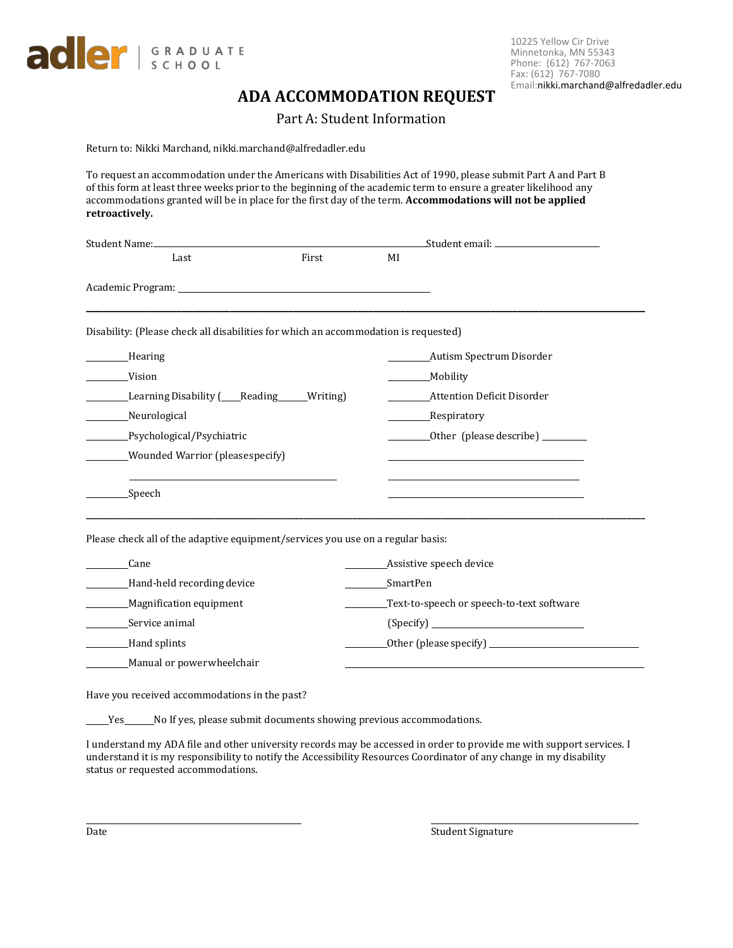

10225 Yellow Cir Drive Minnetonka, MN 55343 Phone: (612) 767-7063 Fax: (612) 767-7080 Email:[n](http://www.allfredadler.edu/)[ikki.marchand@alfredadler.ed](mailto:admissions@alfredadler.edu)u

## **ADA ACCOMMODATION REQUEST**

Part A: Student Information

Return to: Nikki Marchand, nikki.marchand@alfredadler.edu

To request an accommodation under the Americans with Disabilities Act of 1990, please submit Part A and Part B of this form at least three weeks prior to the beginning of the academic term to ensure a greater likelihood any accommodations granted will be in place for the first day of the term. **Accommodations will not be applied retroactively.** 

| Student Name: Manual Manual Manual Manual Manual Manual Manual Manual Manual Manual Manual Manual Manual Manua |       |    |                                           |  |
|----------------------------------------------------------------------------------------------------------------|-------|----|-------------------------------------------|--|
| Last                                                                                                           | First | MI |                                           |  |
|                                                                                                                |       |    |                                           |  |
| Disability: (Please check all disabilities for which an accommodation is requested)                            |       |    |                                           |  |
| ____Hearing                                                                                                    |       |    |                                           |  |
| Vision                                                                                                         |       |    | Mobility                                  |  |
| Learning Disability ( <i>Neading</i> Mriting)                                                                  |       |    | Attention Deficit Disorder                |  |
| Neurological                                                                                                   |       |    | _Respiratory                              |  |
| Psychological/Psychiatric                                                                                      |       |    | Other (please describe) ________          |  |
| Wounded Warrior (please specify)                                                                               |       |    |                                           |  |
| Speech                                                                                                         |       |    |                                           |  |
| Please check all of the adaptive equipment/services you use on a regular basis:                                |       |    |                                           |  |
| Cane                                                                                                           |       |    | Assistive speech device                   |  |
| Hand-held recording device                                                                                     |       |    | SmartPen                                  |  |
| Magnification equipment                                                                                        |       |    | Text-to-speech or speech-to-text software |  |
| Service animal                                                                                                 |       |    |                                           |  |
| Hand splints                                                                                                   |       |    |                                           |  |
| Manual or power wheelchair                                                                                     |       |    |                                           |  |
|                                                                                                                |       |    |                                           |  |

Have you received accommodations in the past?

Yes \_\_\_\_\_\_No If yes, please submit documents showing previous accommodations.

I understand my ADA file and other university records may be accessed in order to provide me with support services. I understand it is my responsibility to notify the Accessibility Resources Coordinator of any change in my disability status or requested accommodations.

Date Student Signature Student Signature Student Signature Student Signature Student Signature